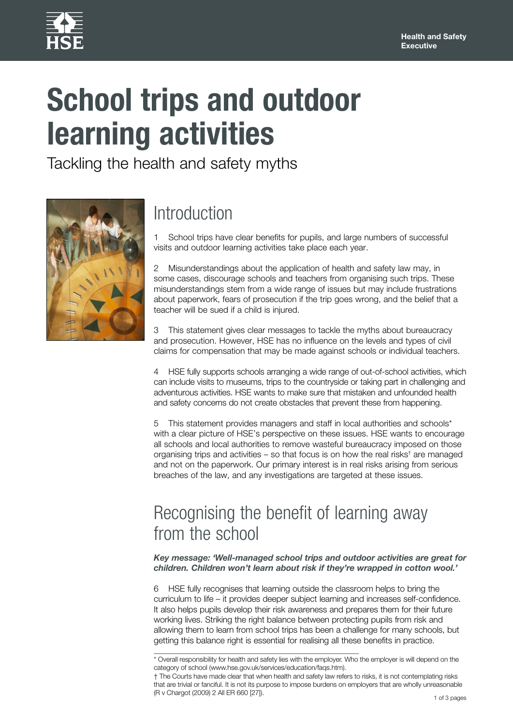

# **School trips and outdoor learning activities**

Tackling the health and safety myths



## Introduction

1 School trips have clear benefits for pupils, and large numbers of successful visits and outdoor learning activities take place each year.

2 Misunderstandings about the application of health and safety law may, in some cases, discourage schools and teachers from organising such trips. These misunderstandings stem from a wide range of issues but may include frustrations about paperwork, fears of prosecution if the trip goes wrong, and the belief that a teacher will be sued if a child is injured.

3 This statement gives clear messages to tackle the myths about bureaucracy and prosecution. However, HSE has no influence on the levels and types of civil claims for compensation that may be made against schools or individual teachers.

4 HSE fully supports schools arranging a wide range of out-of-school activities, which can include visits to museums, trips to the countryside or taking part in challenging and adventurous activities. HSE wants to make sure that mistaken and unfounded health and safety concerns do not create obstacles that prevent these from happening.

5 This statement provides managers and staff in local authorities and schools\* with a clear picture of HSE's perspective on these issues. HSE wants to encourage all schools and local authorities to remove wasteful bureaucracy imposed on those organising trips and activities – so that focus is on how the real risks† are managed and not on the paperwork. Our primary interest is in real risks arising from serious breaches of the law, and any investigations are targeted at these issues.

### Recognising the benefit of learning away from the school

*Key message: 'Well-managed school trips and outdoor activities are great for children. Children won't learn about risk if they're wrapped in cotton wool.'*

6 HSE fully recognises that learning outside the classroom helps to bring the curriculum to life – it provides deeper subject learning and increases self-confidence. It also helps pupils develop their risk awareness and prepares them for their future working lives. Striking the right balance between protecting pupils from risk and allowing them to learn from school trips has been a challenge for many schools, but getting this balance right is essential for realising all these benefits in practice.

<sup>\*</sup> Overall responsibility for health and safety lies with the employer. Who the employer is will depend on the category of school (www.hse.gov.uk/services/education/faqs.htm).

<sup>†</sup> The Courts have made clear that when health and safety law refers to risks, it is not contemplating risks that are trivial or fanciful. It is not its purpose to impose burdens on employers that are wholly unreasonable (R v Chargot (2009) 2 All ER 660 [27]).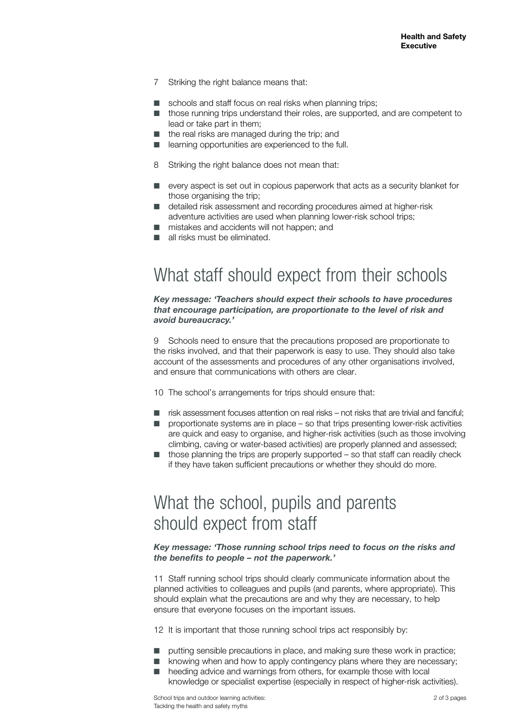- 7 Striking the right balance means that:
- schools and staff focus on real risks when planning trips:
- those running trips understand their roles, are supported, and are competent to lead or take part in them;
- the real risks are managed during the trip; and
- learning opportunities are experienced to the full.
- 8 Striking the right balance does not mean that:
- every aspect is set out in copious paperwork that acts as a security blanket for those organising the trip:
- detailed risk assessment and recording procedures aimed at higher-risk adventure activities are used when planning lower-risk school trips;
- mistakes and accidents will not happen; and
- all risks must be eliminated.

## What staff should expect from their schools

*Key message: 'Teachers should expect their schools to have procedures that encourage participation, are proportionate to the level of risk and avoid bureaucracy.'*

9 Schools need to ensure that the precautions proposed are proportionate to the risks involved, and that their paperwork is easy to use. They should also take account of the assessments and procedures of any other organisations involved, and ensure that communications with others are clear.

10 The school's arrangements for trips should ensure that:

- risk assessment focuses attention on real risks not risks that are trivial and fanciful;
- proportionate systems are in place so that trips presenting lower-risk activities are quick and easy to organise, and higher-risk activities (such as those involving climbing, caving or water-based activities) are properly planned and assessed;
- those planning the trips are properly supported so that staff can readily check if they have taken sufficient precautions or whether they should do more.

### What the school, pupils and parents should expect from staff

*Key message: 'Those running school trips need to focus on the risks and the benefits to people – not the paperwork.'*

11 Staff running school trips should clearly communicate information about the planned activities to colleagues and pupils (and parents, where appropriate). This should explain what the precautions are and why they are necessary, to help ensure that everyone focuses on the important issues.

12 It is important that those running school trips act responsibly by:

- putting sensible precautions in place, and making sure these work in practice;
- knowing when and how to apply contingency plans where they are necessary;
- heeding advice and warnings from others, for example those with local knowledge or specialist expertise (especially in respect of higher-risk activities).